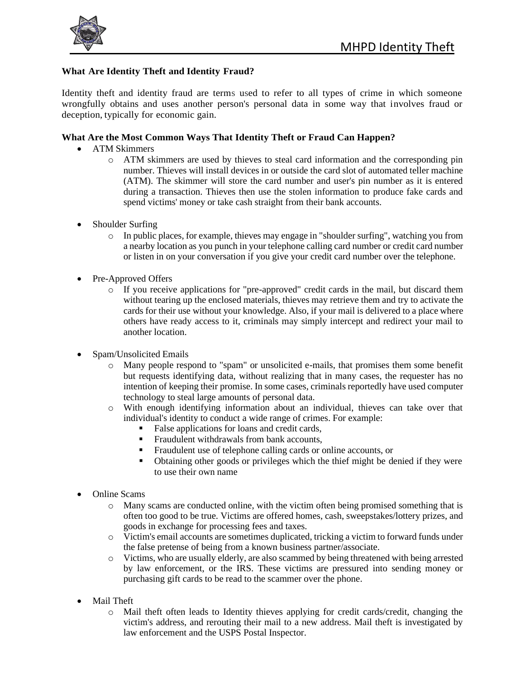

## **What Are Identity Theft and Identity Fraud?**

Identity theft and identity fraud are terms used to refer to all types of crime in which someone wrongfully obtains and uses another person's personal data in some way that involves fraud or deception, typically for economic gain.

## **What Are the Most Common Ways That Identity Theft or Fraud Can Happen?**

- ATM Skimmers
	- o ATM skimmers are used by thieves to steal card information and the corresponding pin number. Thieves will install devices in or outside the card slot of automated teller machine (ATM). The skimmer will store the card number and user's pin number as it is entered during a transaction. Thieves then use the stolen information to produce fake cards and spend victims' money or take cash straight from their bank accounts.
- Shoulder Surfing
	- o In public places, for example, thieves may engage in "shoulder surfing", watching you from a nearby location as you punch in your telephone calling card number or credit card number or listen in on your conversation if you give your credit card number over the telephone.
- Pre-Approved Offers
	- o If you receive applications for "pre-approved" credit cards in the mail, but discard them without tearing up the enclosed materials, thieves may retrieve them and try to activate the cards for their use without your knowledge. Also, if your mail is delivered to a place where others have ready access to it, criminals may simply intercept and redirect your mail to another location.
- Spam/Unsolicited Emails
	- o Many people respond to "spam" or unsolicited e-mails, that promises them some benefit but requests identifying data, without realizing that in many cases, the requester has no intention of keeping their promise. In some cases, criminals reportedly have used computer technology to steal large amounts of personal data.
	- o With enough identifying information about an individual, thieves can take over that individual's identity to conduct a wide range of crimes. For example:
		- False applications for loans and credit cards,
		- Fraudulent withdrawals from bank accounts,
		- Fraudulent use of telephone calling cards or online accounts, or
		- Obtaining other goods or privileges which the thief might be denied if they were to use their own name
- Online Scams
	- o Many scams are conducted online, with the victim often being promised something that is often too good to be true. Victims are offered homes, cash, sweepstakes/lottery prizes, and goods in exchange for processing fees and taxes.
	- o Victim's email accounts are sometimes duplicated, tricking a victim to forward funds under the false pretense of being from a known business partner/associate.
	- o Victims, who are usually elderly, are also scammed by being threatened with being arrested by law enforcement, or the IRS. These victims are pressured into sending money or purchasing gift cards to be read to the scammer over the phone.
- Mail Theft
	- o Mail theft often leads to Identity thieves applying for credit cards/credit, changing the victim's address, and rerouting their mail to a new address. Mail theft is investigated by law enforcement and the USPS Postal Inspector.